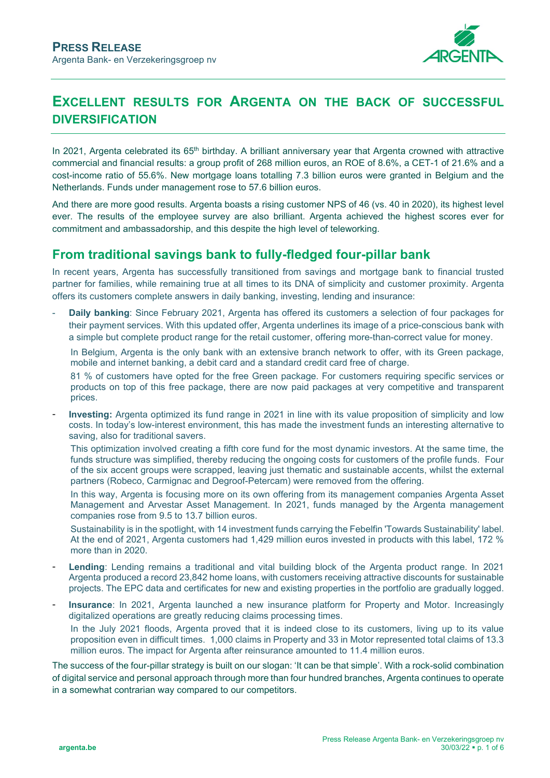

## **EXCELLENT RESULTS FOR ARGENTA ON THE BACK OF SUCCESSFUL DIVERSIFICATION**

In 2021, Argenta celebrated its 65<sup>th</sup> birthday. A brilliant anniversary year that Argenta crowned with attractive commercial and financial results: a group profit of 268 million euros, an ROE of 8.6%, a CET-1 of 21.6% and a cost-income ratio of 55.6%. New mortgage loans totalling 7.3 billion euros were granted in Belgium and the Netherlands. Funds under management rose to 57.6 billion euros.

And there are more good results. Argenta boasts a rising customer NPS of 46 (vs. 40 in 2020), its highest level ever. The results of the employee survey are also brilliant. Argenta achieved the highest scores ever for commitment and ambassadorship, and this despite the high level of teleworking.

## **From traditional savings bank to fully-fledged four-pillar bank**

In recent years, Argenta has successfully transitioned from savings and mortgage bank to financial trusted partner for families, while remaining true at all times to its DNA of simplicity and customer proximity. Argenta offers its customers complete answers in daily banking, investing, lending and insurance:

**Daily banking:** Since February 2021, Argenta has offered its customers a selection of four packages for their payment services. With this updated offer, Argenta underlines its image of a price-conscious bank with a simple but complete product range for the retail customer, offering more-than-correct value for money.

In Belgium, Argenta is the only bank with an extensive branch network to offer, with its Green package, mobile and internet banking, a debit card and a standard credit card free of charge.

81 % of customers have opted for the free Green package. For customers requiring specific services or products on top of this free package, there are now paid packages at very competitive and transparent prices.

**Investing:** Argenta optimized its fund range in 2021 in line with its value proposition of simplicity and low costs. In today's low-interest environment, this has made the investment funds an interesting alternative to saving, also for traditional savers.

This optimization involved creating a fifth core fund for the most dynamic investors. At the same time, the funds structure was simplified, thereby reducing the ongoing costs for customers of the profile funds. Four of the six accent groups were scrapped, leaving just thematic and sustainable accents, whilst the external partners (Robeco, Carmignac and Degroof-Petercam) were removed from the offering.

In this way, Argenta is focusing more on its own offering from its management companies Argenta Asset Management and Arvestar Asset Management. In 2021, funds managed by the Argenta management companies rose from 9.5 to 13.7 billion euros.

Sustainability is in the spotlight, with 14 investment funds carrying the Febelfin 'Towards Sustainability' label. At the end of 2021, Argenta customers had 1,429 million euros invested in products with this label, 172 % more than in 2020.

- Lending: Lending remains a traditional and vital building block of the Argenta product range. In 2021 Argenta produced a record 23,842 home loans, with customers receiving attractive discounts for sustainable projects. The EPC data and certificates for new and existing properties in the portfolio are gradually logged.
- **Insurance**: In 2021, Argenta launched a new insurance platform for Property and Motor. Increasingly digitalized operations are greatly reducing claims processing times.

In the July 2021 floods, Argenta proved that it is indeed close to its customers, living up to its value proposition even in difficult times. 1,000 claims in Property and 33 in Motor represented total claims of 13.3 million euros. The impact for Argenta after reinsurance amounted to 11.4 million euros.

The success of the four-pillar strategy is built on our slogan: 'It can be that simple'. With a rock-solid combination of digital service and personal approach through more than four hundred branches, Argenta continues to operate in a somewhat contrarian way compared to our competitors.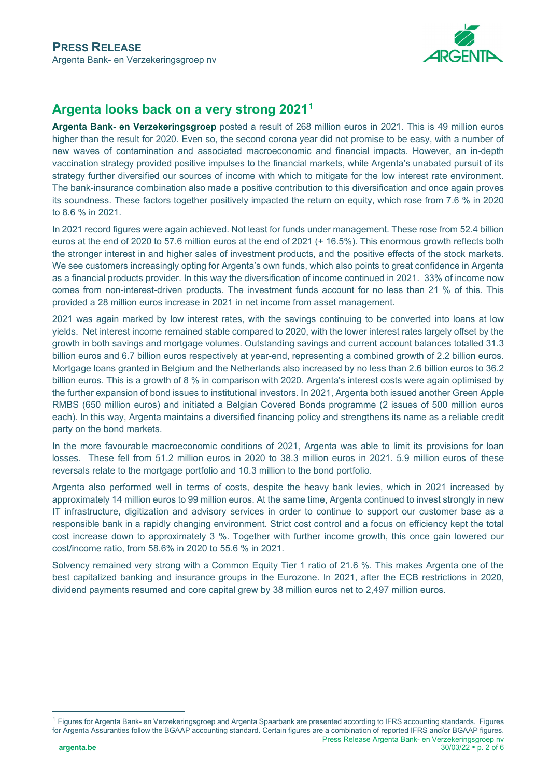

## **Argenta looks back on a very strong 2021[1](#page-1-0)**

**Argenta Bank- en Verzekeringsgroep** posted a result of 268 million euros in 2021. This is 49 million euros higher than the result for 2020. Even so, the second corona year did not promise to be easy, with a number of new waves of contamination and associated macroeconomic and financial impacts. However, an in-depth vaccination strategy provided positive impulses to the financial markets, while Argenta's unabated pursuit of its strategy further diversified our sources of income with which to mitigate for the low interest rate environment. The bank-insurance combination also made a positive contribution to this diversification and once again proves its soundness. These factors together positively impacted the return on equity, which rose from 7.6 % in 2020 to 8.6 % in 2021.

In 2021 record figures were again achieved. Not least for funds under management. These rose from 52.4 billion euros at the end of 2020 to 57.6 million euros at the end of 2021 (+ 16.5%). This enormous growth reflects both the stronger interest in and higher sales of investment products, and the positive effects of the stock markets. We see customers increasingly opting for Argenta's own funds, which also points to great confidence in Argenta as a financial products provider. In this way the diversification of income continued in 2021. 33% of income now comes from non-interest-driven products. The investment funds account for no less than 21 % of this. This provided a 28 million euros increase in 2021 in net income from asset management.

2021 was again marked by low interest rates, with the savings continuing to be converted into loans at low yields. Net interest income remained stable compared to 2020, with the lower interest rates largely offset by the growth in both savings and mortgage volumes. Outstanding savings and current account balances totalled 31.3 billion euros and 6.7 billion euros respectively at year-end, representing a combined growth of 2.2 billion euros. Mortgage loans granted in Belgium and the Netherlands also increased by no less than 2.6 billion euros to 36.2 billion euros. This is a growth of 8 % in comparison with 2020. Argenta's interest costs were again optimised by the further expansion of bond issues to institutional investors. In 2021, Argenta both issued another Green Apple RMBS (650 million euros) and initiated a Belgian Covered Bonds programme (2 issues of 500 million euros each). In this way, Argenta maintains a diversified financing policy and strengthens its name as a reliable credit party on the bond markets.

In the more favourable macroeconomic conditions of 2021, Argenta was able to limit its provisions for loan losses. These fell from 51.2 million euros in 2020 to 38.3 million euros in 2021. 5.9 million euros of these reversals relate to the mortgage portfolio and 10.3 million to the bond portfolio.

Argenta also performed well in terms of costs, despite the heavy bank levies, which in 2021 increased by approximately 14 million euros to 99 million euros. At the same time, Argenta continued to invest strongly in new IT infrastructure, digitization and advisory services in order to continue to support our customer base as a responsible bank in a rapidly changing environment. Strict cost control and a focus on efficiency kept the total cost increase down to approximately 3 %. Together with further income growth, this once gain lowered our cost/income ratio, from 58.6% in 2020 to 55.6 % in 2021.

Solvency remained very strong with a Common Equity Tier 1 ratio of 21.6 %. This makes Argenta one of the best capitalized banking and insurance groups in the Eurozone. In 2021, after the ECB restrictions in 2020, dividend payments resumed and core capital grew by 38 million euros net to 2,497 million euros.

<span id="page-1-0"></span>Press Release Argenta Bank- en Verzekeringsgroep nv **argenta.be** 30/03/22 **p**. 2 of 6 <sup>1</sup> Figures for Argenta Bank- en Verzekeringsgroep and Argenta Spaarbank are presented according to IFRS accounting standards. Figures for Argenta Assuranties follow the BGAAP accounting standard. Certain figures are a combination of reported IFRS and/or BGAAP figures.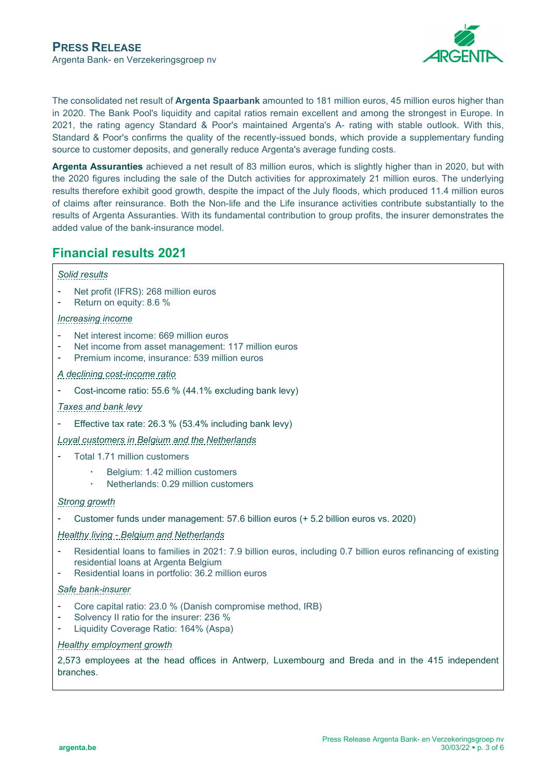

The consolidated net result of **Argenta Spaarbank** amounted to 181 million euros, 45 million euros higher than in 2020. The Bank Pool's liquidity and capital ratios remain excellent and among the strongest in Europe. In 2021, the rating agency Standard & Poor's maintained Argenta's A- rating with stable outlook. With this, Standard & Poor's confirms the quality of the recently-issued bonds, which provide a supplementary funding source to customer deposits, and generally reduce Argenta's average funding costs.

**Argenta Assuranties** achieved a net result of 83 million euros, which is slightly higher than in 2020, but with the 2020 figures including the sale of the Dutch activities for approximately 21 million euros. The underlying results therefore exhibit good growth, despite the impact of the July floods, which produced 11.4 million euros of claims after reinsurance. Both the Non-life and the Life insurance activities contribute substantially to the results of Argenta Assuranties. With its fundamental contribution to group profits, the insurer demonstrates the added value of the bank-insurance model.

## **Financial results 2021**

#### *Solid results*

- Net profit (IFRS): 268 million euros
- Return on equity: 8.6 %

#### *Increasing income*

- Net interest income: 669 million euros
- Net income from asset management: 117 million euros<br>- Premium income insurance: 539 million euros
- Premium income, insurance: 539 million euros

#### *A declining cost-income ratio*

Cost-income ratio: 55.6 % (44.1% excluding bank levy)

#### *Taxes and bank levy*

Effective tax rate: 26.3 % (53.4% including bank levy)

#### *Loyal customers in Belgium and the Netherlands*

- Total 1.71 million customers
	- Belgium: 1.42 million customers
	- Netherlands: 0.29 million customers

#### *Strong growth*

- Customer funds under management: 57.6 billion euros (+ 5.2 billion euros vs. 2020)

#### *Healthy living - Belgium and Netherlands*

- Residential loans to families in 2021: 7.9 billion euros, including 0.7 billion euros refinancing of existing residential loans at Argenta Belgium
- Residential loans in portfolio: 36.2 million euros

#### *Safe bank-insurer*

- Core capital ratio: 23.0 % (Danish compromise method, IRB)
- Solvency II ratio for the insurer: 236 %
- Liquidity Coverage Ratio: 164% (Aspa)

#### *Healthy employment growth*

2,573 employees at the head offices in Antwerp, Luxembourg and Breda and in the 415 independent branches.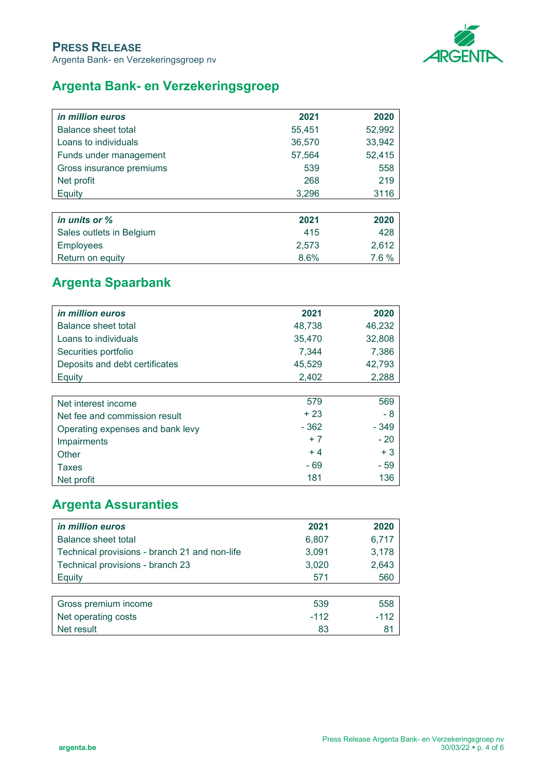

## **Argenta Bank- en Verzekeringsgroep**

| <i>in million euros</i>  | 2021   | 2020   |
|--------------------------|--------|--------|
| Balance sheet total      | 55,451 | 52,992 |
| Loans to individuals     | 36,570 | 33,942 |
| Funds under management   | 57,564 | 52,415 |
| Gross insurance premiums | 539    | 558    |
| Net profit               | 268    | 219    |
| Equity                   | 3,296  | 3116   |
|                          |        |        |
| in units or %            | 2021   | 2020   |
| Sales outlets in Belgium | 415    | 428    |
| <b>Employees</b>         | 2,573  | 2,612  |
| Return on equity         | 8.6%   | 7.6 %  |

# **Argenta Spaarbank**

| <i>in million euros</i>          | 2021   | 2020   |
|----------------------------------|--------|--------|
| Balance sheet total              | 48,738 | 46,232 |
| Loans to individuals             | 35,470 | 32,808 |
| Securities portfolio             | 7,344  | 7,386  |
| Deposits and debt certificates   | 45,529 | 42,793 |
| Equity                           | 2,402  | 2,288  |
|                                  |        |        |
| Net interest income              | 579    | 569    |
| Net fee and commission result    | + 23   | - 8    |
| Operating expenses and bank levy | $-362$ | $-349$ |
| Impairments                      | $+7$   | $-20$  |
| Other                            | $+4$   | $+3$   |
| Taxes                            | $-69$  | - 59   |
| Net profit                       | 181    | 136    |

# **Argenta Assuranties**

| <i>in million euros</i>                       | 2021   | 2020   |
|-----------------------------------------------|--------|--------|
| Balance sheet total                           | 6,807  | 6,717  |
| Technical provisions - branch 21 and non-life | 3,091  | 3,178  |
| Technical provisions - branch 23              | 3,020  | 2,643  |
| Equity                                        | 571    | 560    |
|                                               |        |        |
| Gross premium income                          | 539    | 558    |
| Net operating costs                           | $-112$ | $-112$ |
| Net result                                    | 83     | 81     |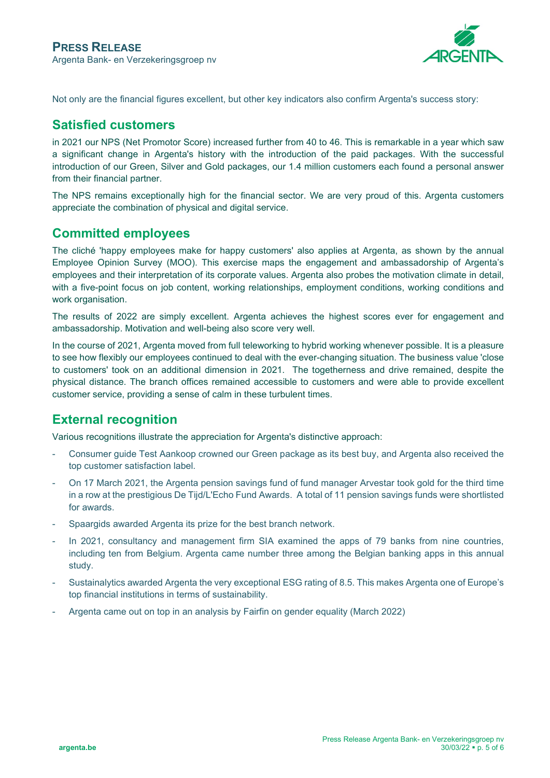

Not only are the financial figures excellent, but other key indicators also confirm Argenta's success story:

### **Satisfied customers**

in 2021 our NPS (Net Promotor Score) increased further from 40 to 46. This is remarkable in a year which saw a significant change in Argenta's history with the introduction of the paid packages. With the successful introduction of our Green, Silver and Gold packages, our 1.4 million customers each found a personal answer from their financial partner.

The NPS remains exceptionally high for the financial sector. We are very proud of this. Argenta customers appreciate the combination of physical and digital service.

### **Committed employees**

The cliché 'happy employees make for happy customers' also applies at Argenta, as shown by the annual Employee Opinion Survey (MOO). This exercise maps the engagement and ambassadorship of Argenta's employees and their interpretation of its corporate values. Argenta also probes the motivation climate in detail, with a five-point focus on job content, working relationships, employment conditions, working conditions and work organisation.

The results of 2022 are simply excellent. Argenta achieves the highest scores ever for engagement and ambassadorship. Motivation and well-being also score very well.

In the course of 2021, Argenta moved from full teleworking to hybrid working whenever possible. It is a pleasure to see how flexibly our employees continued to deal with the ever-changing situation. The business value 'close to customers' took on an additional dimension in 2021. The togetherness and drive remained, despite the physical distance. The branch offices remained accessible to customers and were able to provide excellent customer service, providing a sense of calm in these turbulent times.

## **External recognition**

Various recognitions illustrate the appreciation for Argenta's distinctive approach:

- Consumer guide Test Aankoop crowned our Green package as its best buy, and Argenta also received the top customer satisfaction label.
- On 17 March 2021, the Argenta pension savings fund of fund manager Arvestar took gold for the third time in a row at the prestigious De Tijd/L'Echo Fund Awards. A total of 11 pension savings funds were shortlisted for awards.
- Spaargids awarded Argenta its prize for the best branch network.
- In 2021, consultancy and management firm SIA examined the apps of 79 banks from nine countries, including ten from Belgium. Argenta came number three among the Belgian banking apps in this annual study.
- Sustainalytics awarded Argenta the very exceptional ESG rating of 8.5. This makes Argenta one of Europe's top financial institutions in terms of sustainability.
- Argenta came out on top in an analysis by Fairfin on gender equality (March 2022)